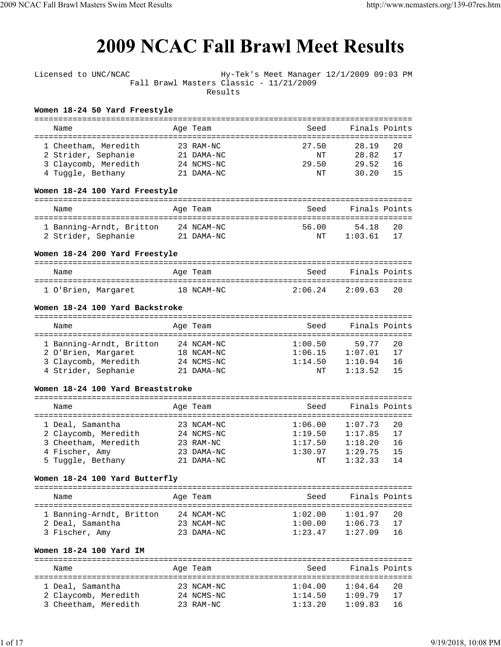## **2009 NCAC Fall Brawl Meet Results**

| Licensed to UNC/NCAC                | Fall Brawl Masters Classic - 11/21/2009<br>Results | Hy-Tek's Meet Manager 12/1/2009 09:03 PM |               |    |
|-------------------------------------|----------------------------------------------------|------------------------------------------|---------------|----|
| Women 18-24 50 Yard Freestyle       |                                                    |                                          |               |    |
| Name                                | Age Team                                           | Seed                                     | Finals Points |    |
| 1 Cheetham, Meredith                | 23 RAM-NC                                          | 27.50                                    | 28.19         | 20 |
| 2 Strider, Sephanie                 | 21 DAMA-NC                                         | NT                                       | 28.82         | 17 |
| 3 Claycomb, Meredith                | 24 NCMS-NC                                         | 29.50                                    | 29.52         | 16 |
| 4 Tuggle, Bethany                   | 21 DAMA-NC                                         | NΤ                                       | 30.20         | 15 |
| Women 18-24 100 Yard Freestyle      |                                                    |                                          |               |    |
| Name                                | Age Team                                           | Seed                                     | Finals Points |    |
| 1 Banning-Arndt, Britton            | 24 NCAM-NC                                         | 56.00                                    | 54.18         | 20 |
| 2 Strider, Sephanie                 | 21 DAMA-NC                                         | NΤ                                       | 1:03.61       | 17 |
| Women 18-24 200 Yard Freestyle      |                                                    |                                          |               |    |
|                                     |                                                    |                                          |               |    |
| Name                                | Age Team                                           | Seed                                     | Finals Points |    |
| 1 O'Brien, Margaret                 | 18 NCAM-NC                                         | 2:06.24                                  | 2:09.63       | 20 |
| Women 18-24 100 Yard Backstroke     |                                                    |                                          |               |    |
|                                     |                                                    |                                          |               |    |
| Name                                | Age Team                                           | Seed                                     | Finals Points |    |
| 1 Banning-Arndt, Britton            | 24 NCAM-NC                                         | 1:00.50                                  | 59.77         | 20 |
| 2 O'Brien, Margaret                 | 18 NCAM-NC                                         | 1:06.15                                  | 1:07.01       | 17 |
| 3 Claycomb, Meredith                | 24 NCMS-NC                                         | 1:14.50                                  | 1:10.94       | 16 |
| 4 Strider, Sephanie                 | 21 DAMA-NC                                         | NΤ                                       | 1:13.52       | 15 |
| Women 18-24 100 Yard Breaststroke   |                                                    |                                          |               |    |
|                                     |                                                    |                                          |               |    |
| Name                                | Age Team                                           | Seed                                     | Finals Points |    |
| 1 Deal, Samantha                    | 23 NCAM-NC                                         | 1:06.00                                  | 1:07.73       | 20 |
| 2 Claycomb, Meredith                | 24 NCMS-NC                                         | 1:19.50                                  | 1:17.85       | 17 |
| 3 Cheetham, Meredith                | 23 RAM-NC                                          | 1:17.50                                  | 1:18.20       | 16 |
| 4 Fischer, Amy                      | 23 DAMA-NC                                         | 1:30.97                                  | 1:29.75       | 15 |
| 5 Tuggle, Bethany                   | 21 DAMA-NC                                         | NΤ                                       | 1:32.33       | 14 |
| Women 18-24 100 Yard Butterfly      |                                                    |                                          |               |    |
| Name                                | Age Team                                           | Seed                                     | Finals Points |    |
|                                     |                                                    |                                          |               |    |
| 1 Banning-Arndt, Britton 24 NCAM-NC |                                                    | 1:02.00                                  | 1:01.97       | 20 |
| 2 Deal, Samantha                    | 23 NCAM-NC                                         | 1:00.00                                  | 1:06.73       | 17 |
| 3 Fischer, Amy                      | 23 DAMA-NC                                         | 1:23.47                                  | 1:27.09       | 16 |
| Women 18-24 100 Yard IM             |                                                    |                                          |               |    |
|                                     |                                                    |                                          |               |    |
| Name                                | Age Team                                           | Seed                                     | Finals Points |    |
| 1 Deal, Samantha                    | 23 NCAM-NC                                         | 1:04.00                                  | 1:04.64       | 20 |
| 2 Claycomb, Meredith                | 24 NCMS-NC                                         | 1:14.50                                  | 1:09.79       | 17 |
| 3 Cheetham, Meredith                | 23 RAM-NC                                          | 1:13.20                                  | 1:09.83       | 16 |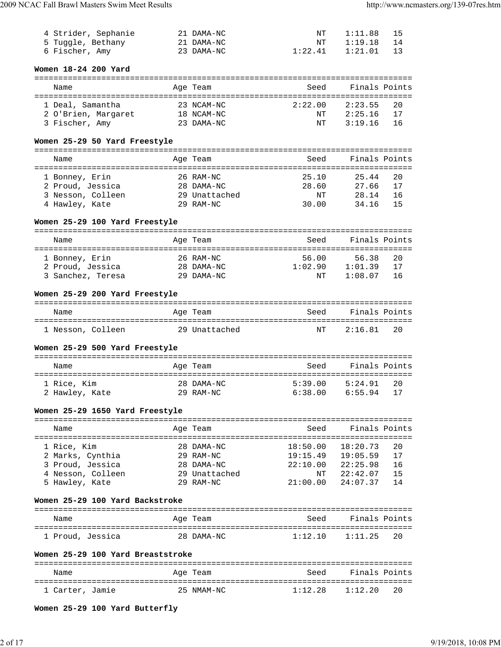| 4 Strider, Sephanie | 21 DAMA-NC | NT      | 1:11.88 | - 15 |
|---------------------|------------|---------|---------|------|
| 5 Tuggle, Bethany   | 21 DAMA-NC | NT      | 1:19.18 |      |
| 6 Fischer, Amy      | 23 DAMA-NC | 1:22.41 | 1:21.01 |      |

#### **Women 18-24 200 Yard**

| Name                                    | Age Team                 | Seed          | Finals Points                  |
|-----------------------------------------|--------------------------|---------------|--------------------------------|
| 1 Deal, Samantha<br>2 O'Brien, Margaret | 23 NCAM-NC<br>18 NCAM-NC | 2:22.00<br>NΤ | 2:23.55<br>20<br>2:25.16<br>17 |
| 3 Fischer, Amy                          | 23 DAMA-NC               | NT            | 3:19.16<br>ា 6                 |

#### **Women 25-29 50 Yard Freestyle**

| Name              |  | Age Team      | Seed  | Finals Points |  |
|-------------------|--|---------------|-------|---------------|--|
| 1 Bonney, Erin    |  | 26 RAM-NC     | 25.10 | 25.44<br>20   |  |
| 2 Proud, Jessica  |  | 28 DAMA-NC    | 28.60 | 17<br>27.66   |  |
| 3 Nesson, Colleen |  | 29 Unattached | NT    | 28.14<br>16   |  |
| 4 Hawley, Kate    |  | 29 RAM-NC     | 30.00 | 34.16<br>15   |  |

#### **Women 25-29 100 Yard Freestyle**

|  | Name              |  | Age Team   | Seed    | Finals Points |    |
|--|-------------------|--|------------|---------|---------------|----|
|  |                   |  |            |         |               |    |
|  | 1 Bonney, Erin    |  | 26 RAM-NC  | 56.00   | 56.38         | 20 |
|  | 2 Proud, Jessica  |  | 28 DAMA-NC | 1:02.90 | 1:01.39       | 17 |
|  | 3 Sanchez, Teresa |  | 29 DAMA-NC | NΤ      | 1:08.07       | 16 |

#### **Women 25-29 200 Yard Freestyle**

| Name              | Age Team      | Seed | Finals Points |  |
|-------------------|---------------|------|---------------|--|
| 1 Nesson, Colleen | 29 Unattached | NT   | 2:16 81<br>20 |  |

#### **Women 25-29 500 Yard Freestyle**

| Name                          | Age Team                | Seed               | Finals Points                    |
|-------------------------------|-------------------------|--------------------|----------------------------------|
| 1 Rice, Kim<br>2 Hawley, Kate | 28 DAMA-NC<br>29 RAM-NC | 5:39.00<br>6:38.00 | 5:24.91<br>-20<br>6:55.94<br>-17 |

#### **Women 25-29 1650 Yard Freestyle**

| Name              | Age Team      | Seed     | Finals Points   |  |  |
|-------------------|---------------|----------|-----------------|--|--|
|                   |               |          |                 |  |  |
| 1 Rice, Kim       | 28 DAMA-NC    | 18:50.00 | 18:20.73<br>2.0 |  |  |
| 2 Marks, Cynthia  | $29$ RAM-NC   | 19:15.49 | 19:05.59<br>17  |  |  |
| 3 Proud, Jessica  | 28 DAMA-NC    | 22:10.00 | 22:25.98<br>16  |  |  |
| 4 Nesson, Colleen | 29 Unattached | NΤ       | 22:42.07<br>15  |  |  |
| 5 Hawley, Kate    | $29$ RAM-NC   | 21:00.00 | 24:07.37<br>14  |  |  |

#### **Women 25-29 100 Yard Backstroke**

| Name             | Age Team   | Seed    | Finals Points |
|------------------|------------|---------|---------------|
| 1 Proud, Jessica | 28 DAMA-NC | 1:12.10 | $1:11.25$ 2.0 |

#### **Women 25-29 100 Yard Breaststroke**

| Name            | Age Team   | Seed    | Finals Points |
|-----------------|------------|---------|---------------|
| 1 Carter, Jamie | 25 NMAM-NC | 1:12.28 | $1:12.20$ 20  |

**Women 25-29 100 Yard Butterfly**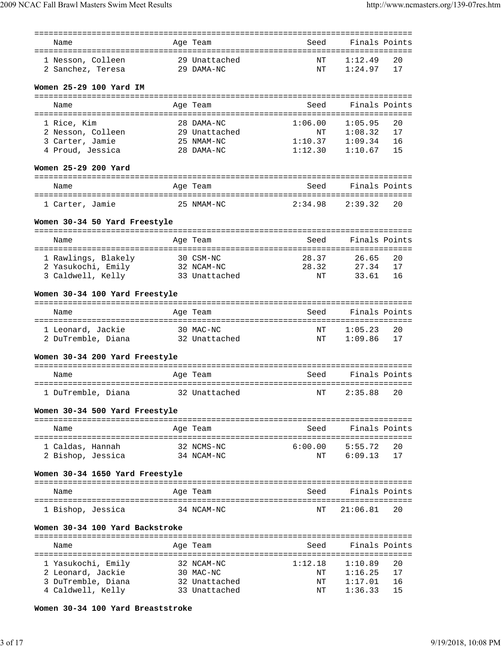| Name                                    |           | Age Team                | Seed                               | Finals Points      |    |
|-----------------------------------------|-----------|-------------------------|------------------------------------|--------------------|----|
|                                         |           |                         |                                    |                    |    |
| 1 Nesson, Colleen                       |           | 29 Unattached           | ΝT                                 | 1:12.49            | 20 |
| 2 Sanchez, Teresa                       |           | 29 DAMA-NC              | ΝT                                 | 1:24.97            | 17 |
| Women 25-29 100 Yard IM                 |           |                         |                                    |                    |    |
| Name                                    |           | Age Team                | Seed                               | Finals Points      |    |
|                                         |           |                         |                                    |                    |    |
| 1 Rice, Kim                             |           | 28 DAMA-NC              | 1:06.00                            | 1:05.95            | 20 |
| 2 Nesson, Colleen                       |           | 29 Unattached           | ΝT                                 | 1:08.32            | 17 |
| 3 Carter, Jamie                         |           | 25 NMAM-NC              | 1:10.37                            | 1:09.34            | 16 |
| 4 Proud, Jessica                        |           | 28 DAMA-NC              | 1:12.30                            | 1:10.67            | 15 |
| Women 25-29 200 Yard                    |           |                         |                                    |                    |    |
|                                         |           |                         |                                    |                    |    |
| Name                                    |           | Age Team                | Seed                               | Finals Points      |    |
|                                         |           |                         |                                    |                    |    |
| 1 Carter, Jamie                         |           | 25 NMAM-NC              | 2:34.98                            | 2:39.32            | 20 |
| Women 30-34 50 Yard Freestyle           |           |                         |                                    |                    |    |
|                                         |           |                         |                                    |                    |    |
| Name                                    |           | Age Team                | Seed                               | Finals Points      |    |
|                                         |           |                         |                                    |                    |    |
| 1 Rawlings, Blakely                     |           | 30 CSM-NC               | 28.37                              | 26.65              | 20 |
| 2 Yasukochi, Emily                      |           | 32 NCAM-NC              | 28.32                              | 27.34              | 17 |
| 3 Caldwell, Kelly                       |           | 33 Unattached           | NΤ                                 | 33.61              | 16 |
| Women 30-34 100 Yard Freestyle          |           |                         |                                    |                    |    |
|                                         |           |                         |                                    |                    |    |
| Name                                    |           | Age Team                | Seed                               | Finals Points      |    |
|                                         |           |                         | ΝT                                 |                    | 20 |
| 1 Leonard, Jackie<br>2 DuTremble, Diana | 30 MAC-NC | 32 Unattached           | ΝT                                 | 1:05.23<br>1:09.86 | 17 |
|                                         |           |                         |                                    |                    |    |
| Women 30-34 200 Yard Freestyle          |           |                         |                                    |                    |    |
| Name                                    |           | Age Team                | Seed                               | Finals Points      |    |
|                                         |           |                         |                                    |                    |    |
| 1 DuTremble, Diana                      |           | 32 Unattached           | NT 2:35.88                         |                    | 20 |
| Women 30-34 500 Yard Freestyle          |           |                         |                                    |                    |    |
|                                         |           |                         |                                    |                    |    |
| Name                                    |           | Age Team                | Seed                               | Finals Points      |    |
|                                         |           |                         | ---------------------------------- |                    |    |
| 1 Caldas, Hannah                        |           | 32 NCMS-NC              | 6:00.00                            | 5:55.72            | 20 |
| 2 Bishop, Jessica                       |           | 34 NCAM-NC              | ΝT                                 | 6:09.13            | 17 |
| Women 30-34 1650 Yard Freestyle         |           |                         |                                    |                    |    |
| Name                                    |           | Age Team                | Seed                               | Finals Points      |    |
|                                         |           |                         |                                    |                    |    |
| 1 Bishop, Jessica                       |           | 34 NCAM-NC              | NΤ                                 | 21:06.81           | 20 |
| Women 30-34 100 Yard Backstroke         |           |                         |                                    |                    |    |
|                                         |           |                         |                                    |                    |    |
| Name                                    |           | Age Team                | Seed                               | Finals Points      |    |
|                                         |           |                         |                                    |                    | 20 |
| 1 Yasukochi, Emily                      |           | 32 NCAM-NC<br>30 MAC-NC | 1:12.18<br>ΝT                      | 1:10.89<br>1:16.25 | 17 |
| 2 Leonard, Jackie<br>3 DuTremble, Diana |           | 32 Unattached           | ΝT                                 | 1:17.01            | 16 |
| 4 Caldwell, Kelly                       |           | 33 Unattached           | ΝT                                 | 1:36.33            | 15 |
|                                         |           |                         |                                    |                    |    |

**Women 30-34 100 Yard Breaststroke**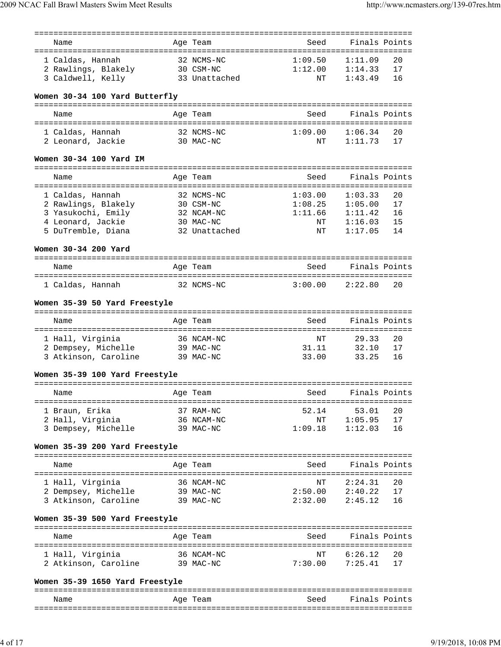| Name                            | Age Team      | Seed    | Finals Points                     |  |
|---------------------------------|---------------|---------|-----------------------------------|--|
|                                 |               |         |                                   |  |
| 1 Caldas, Hannah                | 32 NCMS-NC    | 1:09.50 | 1:11.09<br>20                     |  |
| 2 Rawlings, Blakely             | 30 CSM-NC     | 1:12.00 | 1:14.33<br>17                     |  |
| 3 Caldwell, Kelly               | 33 Unattached | ΝT      | 1:43.49<br>16                     |  |
|                                 |               |         |                                   |  |
|                                 |               |         |                                   |  |
| Women 30-34 100 Yard Butterfly  |               |         |                                   |  |
|                                 |               |         |                                   |  |
| Name                            | Age Team      | Seed    | Finals Points                     |  |
|                                 |               |         |                                   |  |
| 1 Caldas, Hannah                | 32 NCMS-NC    | 1:09.00 | 1:06.34<br>20                     |  |
| 2 Leonard, Jackie               | 30 MAC-NC     | NΤ      | 1:11.73<br>17                     |  |
|                                 |               |         |                                   |  |
| Women 30-34 100 Yard IM         |               |         |                                   |  |
|                                 |               |         |                                   |  |
| Name                            | Age Team      | Seed    | Finals Points                     |  |
|                                 |               |         |                                   |  |
| 1 Caldas, Hannah                | 32 NCMS-NC    | 1:03.00 | 1:03.33<br>20                     |  |
| 2 Rawlings, Blakely             | 30 CSM-NC     | 1:08.25 | 1:05.00<br>17                     |  |
| 3 Yasukochi, Emily              | 32 NCAM-NC    | 1:11.66 | 1:11.42<br>16                     |  |
| 4 Leonard, Jackie               | 30 MAC-NC     | NΤ      | 1:16.03<br>15                     |  |
| 5 DuTremble, Diana              | 32 Unattached | NΤ      | 1:17.05<br>14                     |  |
|                                 |               |         |                                   |  |
| Women 30-34 200 Yard            |               |         |                                   |  |
|                                 |               |         |                                   |  |
|                                 |               |         |                                   |  |
| Name                            | Age Team      | Seed    | Finals Points                     |  |
|                                 |               |         |                                   |  |
| 1 Caldas, Hannah                | 32 NCMS-NC    | 3:00.00 | 2:22.80<br>20                     |  |
|                                 |               |         |                                   |  |
| Women 35-39 50 Yard Freestyle   |               |         |                                   |  |
|                                 |               |         |                                   |  |
| Name                            | Age Team      | Seed    | Finals Points                     |  |
|                                 |               |         |                                   |  |
| 1 Hall, Virginia                | 36 NCAM-NC    | NT      | 20<br>29.33                       |  |
| 2 Dempsey, Michelle             | 39 MAC-NC     | 31.11   | 32.10<br>17                       |  |
| 3 Atkinson, Caroline            | 39 MAC-NC     | 33.00   | 33.25<br>16                       |  |
|                                 |               |         |                                   |  |
| Women 35-39 100 Yard Freestyle  |               |         |                                   |  |
|                                 |               |         |                                   |  |
| Name                            | Age Team      | Seed    | Finals Points                     |  |
|                                 |               |         | ================================= |  |
| 1 Braun, Erika                  | 37 RAM-NC     | 52.14   | 53.01<br>20                       |  |
| 2 Hall, Virginia                | 36 NCAM-NC    | ΝT      | 1:05.95<br>17                     |  |
| 3 Dempsey, Michelle             | 39 MAC-NC     | 1:09.18 | 1:12.03<br>16                     |  |
|                                 |               |         |                                   |  |
| Women 35-39 200 Yard Freestyle  |               |         |                                   |  |
|                                 |               |         |                                   |  |
| Name                            | Age Team      | Seed    | Finals Points                     |  |
|                                 |               |         |                                   |  |
| 1 Hall, Virginia                | 36 NCAM-NC    | ΝT      | 2:24.31<br>20                     |  |
| 2 Dempsey, Michelle 39 MAC-NC   |               | 2:50.00 | 2:40.22<br>17                     |  |
| 3 Atkinson, Caroline 39 MAC-NC  |               |         | $2:32.00$ $2:45.12$<br>16         |  |
|                                 |               |         |                                   |  |
| Women 35-39 500 Yard Freestyle  |               |         |                                   |  |
|                                 |               |         |                                   |  |
| Name                            | Age Team      | Seed    | Finals Points                     |  |
|                                 |               |         |                                   |  |
|                                 | 36 NCAM-NC    | ΝT      | 6:26.12<br>20                     |  |
| 1 Hall, Virginia                |               | 7:30.00 |                                   |  |
| 2 Atkinson, Caroline 39 MAC-NC  |               |         | 7:25.41<br>17                     |  |
|                                 |               |         |                                   |  |
| Women 35-39 1650 Yard Freestyle |               |         |                                   |  |
|                                 |               |         |                                   |  |
| Name                            | Age Team      | Seed    | Finals Points                     |  |
|                                 |               |         |                                   |  |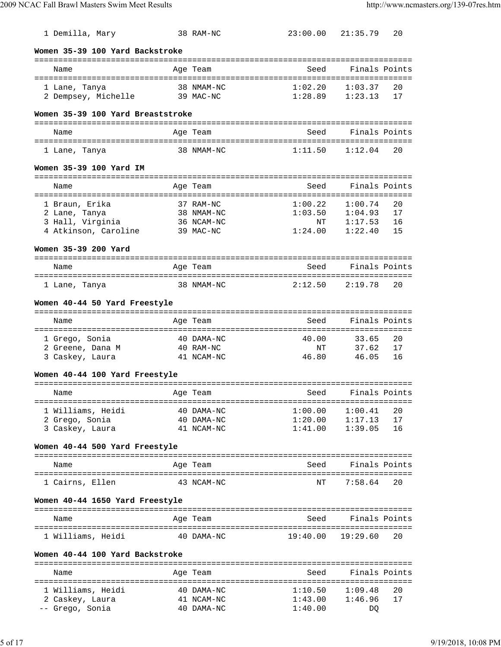| 1 Demilla, Mary                                    |           | 38 RAM-NC                |                    | 23:00.00 21:35.79                             | 20       |
|----------------------------------------------------|-----------|--------------------------|--------------------|-----------------------------------------------|----------|
| Women 35-39 100 Yard Backstroke                    |           |                          |                    |                                               |          |
| Name                                               |           | Age Team                 | Seed               | Finals Points                                 |          |
|                                                    |           |                          |                    |                                               |          |
| 1 Lane, Tanya                                      |           | 38 NMAM-NC               | 1:02.20            | 1:03.37                                       | 20       |
| 2 Dempsey, Michelle                                |           | 39 MAC-NC                | 1:28.89            | 1:23.13                                       | 17       |
| Women 35-39 100 Yard Breaststroke                  |           |                          |                    |                                               |          |
| Name                                               |           | Age Team                 | Seed               | Finals Points                                 |          |
|                                                    |           |                          |                    |                                               |          |
| 1 Lane, Tanya                                      |           | 38 NMAM-NC               | 1:11.50            | 1:12.04                                       | 20       |
| Women 35-39 100 Yard IM                            |           |                          |                    |                                               |          |
| Name                                               |           | Age Team                 | Seed               | Finals Points                                 |          |
| 1 Braun, Erika                                     |           | 37 RAM-NC                | 1:00.22            | 1:00.74                                       | 20       |
| 2 Lane, Tanya<br>∠ ⊔ane, Tanya<br>3 Hall, Virginia |           | 38 NMAM-NC               | $1:03.50$ NT       | 1:04.93                                       | 17       |
|                                                    |           | 36 NCAM-NC               |                    | 1:17.53                                       | 16       |
| 4 Atkinson, Caroline                               |           | 39 MAC-NC                | 1:24.00            | 1:22.40                                       | 15       |
| Women 35-39 200 Yard                               |           |                          |                    |                                               |          |
| Name                                               |           | Age Team                 | Seed               | Finals Points                                 |          |
|                                                    |           |                          |                    |                                               |          |
| 1 Lane, Tanya                                      |           | 38 NMAM-NC               | 2:12.50            | 2:19.78                                       | 20       |
| Women 40-44 50 Yard Freestyle                      |           |                          |                    |                                               |          |
| Name                                               |           | Age Team                 | Seed               | Finals Points                                 |          |
|                                                    |           |                          |                    |                                               |          |
| 1 Grego, Sonia                                     |           | 40 DAMA-NC               | 40.00              | 33.65                                         | 20       |
| 2 Greene, Dana M<br>3 Caskey, Laura                | 40 RAM-NC | 41 NCAM-NC               | ΝT<br>46.80        | 37.62<br>46.05                                | 17<br>16 |
|                                                    |           |                          |                    |                                               |          |
| Women 40-44 100 Yard Freestyle                     |           |                          |                    |                                               |          |
| Age Team<br>Name                                   |           |                          | Seed Finals Points |                                               |          |
|                                                    |           |                          |                    |                                               |          |
| 1 Williams, Heidi                                  |           | 40 DAMA-NC               | 1:00.00            | 1:00.41                                       | 20       |
| 2 Grego, Sonia<br>3 Caskey, Laura                  |           | 40 DAMA-NC<br>41 NCAM-NC |                    | $1:20.00$ $1:17.13$<br>$1:41.00$ $1:39.05$ 16 | 17       |
| Women 40-44 500 Yard Freestyle                     |           |                          |                    |                                               |          |
|                                                    |           |                          |                    |                                               |          |
| Name                                               |           | Age Team                 | Seed               | Finals Points                                 |          |
| 1 Cairns, Ellen                                    |           | 43 NCAM-NC               | NΤ                 | 7:58.64                                       | 20       |
| Women 40-44 1650 Yard Freestyle                    |           |                          |                    |                                               |          |
| Name                                               |           | Age Team                 | Seed               | Finals Points                                 |          |
| 1 Williams, Heidi                                  |           | 40 DAMA-NC               |                    | $19:40.00$ $19:29.60$                         | 20       |
| Women 40-44 100 Yard Backstroke                    |           |                          |                    |                                               |          |
|                                                    |           |                          |                    |                                               |          |
| Name                                               |           | Age Team                 | Seed               | Finals Points                                 |          |
| 1 Williams, Heidi                                  |           | 40 DAMA-NC               |                    | $1:10.50$ $1:09.48$                           | 20       |
| 2 Caskey, Laura                                    |           | 41 NCAM-NC               | 1:43.00            | 1:46.96                                       | 17       |
| -- Grego, Sonia                                    |           | 40 DAMA-NC               | 1:40.00            | DQ                                            |          |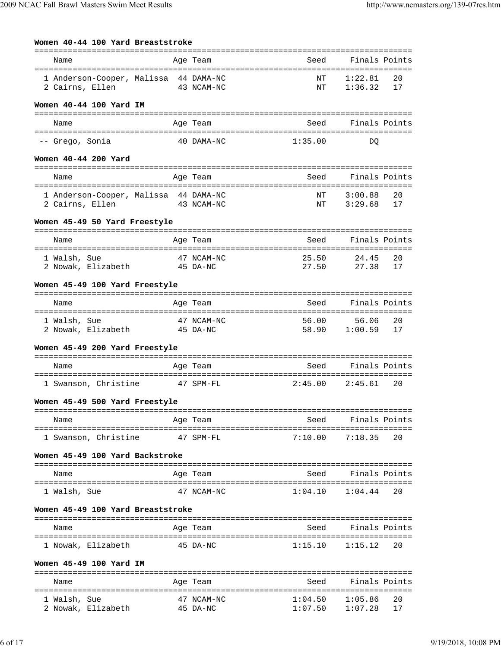| Women 40-44 100 Yard Breaststroke<br>Finals Points<br>Age Team<br>Seed<br>Name<br>1 Anderson-Cooper, Malissa 44 DAMA-NC<br>1:22.81<br>20<br>ΝT<br>43 NCAM-NC<br>1:36.32<br>ΝT<br>17<br>Finals Points<br>Age Team<br>Seed<br>Name<br>40 DAMA-NC<br>1:35.00<br>DO<br>Seed Finals Points<br>Name<br>Age Team |                        |                    |                    |          |
|-----------------------------------------------------------------------------------------------------------------------------------------------------------------------------------------------------------------------------------------------------------------------------------------------------------|------------------------|--------------------|--------------------|----------|
|                                                                                                                                                                                                                                                                                                           |                        |                    |                    |          |
|                                                                                                                                                                                                                                                                                                           |                        |                    |                    |          |
|                                                                                                                                                                                                                                                                                                           |                        |                    |                    |          |
| 2 Cairns, Ellen                                                                                                                                                                                                                                                                                           |                        |                    |                    |          |
| Women 40-44 100 Yard IM                                                                                                                                                                                                                                                                                   |                        |                    |                    |          |
|                                                                                                                                                                                                                                                                                                           |                        |                    |                    |          |
|                                                                                                                                                                                                                                                                                                           |                        |                    |                    |          |
| -- Grego, Sonia                                                                                                                                                                                                                                                                                           |                        |                    |                    |          |
| Women 40-44 200 Yard                                                                                                                                                                                                                                                                                      |                        |                    |                    |          |
|                                                                                                                                                                                                                                                                                                           |                        |                    |                    |          |
|                                                                                                                                                                                                                                                                                                           |                        |                    |                    |          |
| 1 Anderson-Cooper, Malissa 44 DAMA-NC                                                                                                                                                                                                                                                                     |                        | ΝT                 | 3:00.88            | 20       |
| 2 Cairns, Ellen<br>43 NCAM-NC                                                                                                                                                                                                                                                                             |                        | ΝT                 | 3:29.68            | 17       |
|                                                                                                                                                                                                                                                                                                           |                        |                    |                    |          |
| Women 45-49 50 Yard Freestyle                                                                                                                                                                                                                                                                             |                        |                    |                    |          |
| Name                                                                                                                                                                                                                                                                                                      | Age Team               | Seed               | Finals Points      |          |
| 1 Walsh, Sue                                                                                                                                                                                                                                                                                              | 47 NCAM-NC             | 25.50              | 24.45              | 20       |
| 2 Nowak, Elizabeth 45 DA-NC                                                                                                                                                                                                                                                                               |                        | 27.50              | 27.38              | 17       |
|                                                                                                                                                                                                                                                                                                           |                        |                    |                    |          |
| Women 45-49 100 Yard Freestyle                                                                                                                                                                                                                                                                            |                        |                    |                    |          |
| Name                                                                                                                                                                                                                                                                                                      | Age Team               | Seed               | Finals Points      |          |
|                                                                                                                                                                                                                                                                                                           |                        |                    |                    |          |
| 1 Walsh, Sue                                                                                                                                                                                                                                                                                              | 47 NCAM-NC             | 56.00              | 56.06              | 20       |
| 2 Nowak, Elizabeth 45 DA-NC                                                                                                                                                                                                                                                                               |                        | 58.90              | 1:00.59            | 17       |
| Women 45-49 200 Yard Freestyle                                                                                                                                                                                                                                                                            |                        |                    |                    |          |
| Name                                                                                                                                                                                                                                                                                                      | Age Team               | Seed               | Finals Points      |          |
|                                                                                                                                                                                                                                                                                                           |                        |                    |                    |          |
| 1 Swanson, Christine                                                                                                                                                                                                                                                                                      | 47 SPM-FL              | 2:45.00            | 2:45.61            | 20       |
| Women 45-49 500 Yard Freestyle                                                                                                                                                                                                                                                                            |                        |                    |                    |          |
| Name                                                                                                                                                                                                                                                                                                      | Age Team               | Seed               | Finals Points      |          |
|                                                                                                                                                                                                                                                                                                           |                        |                    |                    |          |
| 1 Swanson, Christine                                                                                                                                                                                                                                                                                      | 47 SPM-FL              | 7:10.00            | 7:18.35            | 20       |
| Women 45-49 100 Yard Backstroke                                                                                                                                                                                                                                                                           |                        |                    |                    |          |
| Name                                                                                                                                                                                                                                                                                                      | Age Team               | Seed               | Finals Points      |          |
|                                                                                                                                                                                                                                                                                                           |                        |                    |                    |          |
| 1 Walsh, Sue                                                                                                                                                                                                                                                                                              | 47 NCAM-NC             | 1:04.10            | 1:04.44            | 20       |
| Women 45-49 100 Yard Breaststroke                                                                                                                                                                                                                                                                         |                        |                    |                    |          |
| Name                                                                                                                                                                                                                                                                                                      | Age Team               | Seed               | Finals Points      |          |
|                                                                                                                                                                                                                                                                                                           |                        |                    |                    |          |
| 1 Nowak, Elizabeth                                                                                                                                                                                                                                                                                        | 45 DA-NC               | 1:15.10            | 1:15.12            | 20       |
| Women 45-49 100 Yard IM                                                                                                                                                                                                                                                                                   |                        |                    |                    |          |
| Name                                                                                                                                                                                                                                                                                                      | Age Team               | Seed               | Finals Points      |          |
|                                                                                                                                                                                                                                                                                                           |                        |                    |                    |          |
| 1 Walsh, Sue<br>2 Nowak, Elizabeth                                                                                                                                                                                                                                                                        | 47 NCAM-NC<br>45 DA-NC | 1:04.50<br>1:07.50 | 1:05.86<br>1:07.28 | 20<br>17 |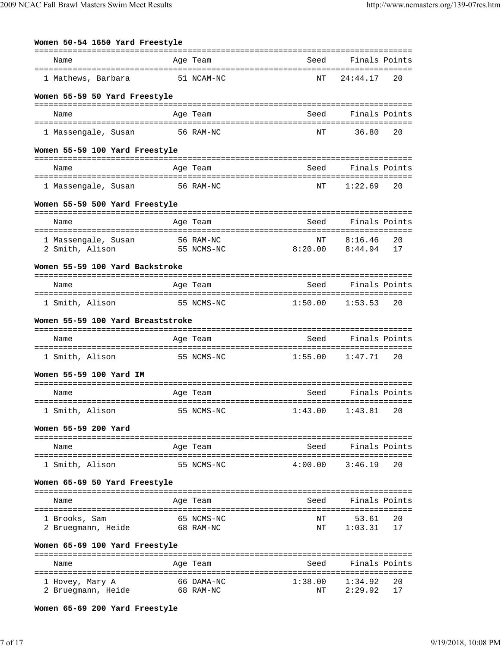| Women 50-54 1650 Yard Freestyle                    |           |            |                                              |                              |    |
|----------------------------------------------------|-----------|------------|----------------------------------------------|------------------------------|----|
| Name                                               |           | Age Team   | Seed                                         | Finals Points                |    |
| 1 Mathews, Barbara                                 |           | 51 NCAM-NC | NΤ                                           | 24:44.17                     | 20 |
| Women 55-59 50 Yard Freestyle                      |           |            |                                              |                              |    |
| Name                                               |           | Age Team   | Seed                                         | Finals Points                |    |
|                                                    | 56 RAM-NC |            |                                              | 36.80                        | 20 |
| 1 Massengale, Susan                                |           |            | NΤ                                           |                              |    |
| Women 55-59 100 Yard Freestyle                     |           |            |                                              |                              |    |
| Name                                               |           | Age Team   | Seed                                         | Finals Points                |    |
| 1 Massengale, Susan                                |           | 56 RAM-NC  | NΤ                                           | 1:22.69                      | 20 |
| Women 55-59 500 Yard Freestyle                     |           |            |                                              |                              |    |
| Name                                               |           | Age Team   | Seed                                         | Finals Points                |    |
| 1 Massengale, Susan 56 RAM-NC                      |           |            | ΝT                                           | 8:16.46                      | 20 |
| 2 Smith, Alison                                    |           | 55 NCMS-NC | 8:20.00                                      | 8:44.94                      | 17 |
| Women 55-59 100 Yard Backstroke                    |           |            |                                              |                              |    |
| Name                                               |           | Age Team   | Seed                                         | Finals Points                |    |
| 1 Smith, Alison                                    |           | 55 NCMS-NC | 1:50.00                                      | 1:53.53                      | 20 |
| Women 55-59 100 Yard Breaststroke                  |           |            |                                              |                              |    |
|                                                    |           |            |                                              |                              |    |
| Name                                               |           | Age Team   | Seed                                         | Finals Points                |    |
| 1 Smith, Alison                                    |           | 55 NCMS-NC | 1:55.00                                      | 1:47.71                      | 20 |
| Women 55-59 100 Yard IM                            |           |            |                                              |                              |    |
| Name                                               |           | Age Team   | Seed                                         | Finals Points                |    |
| ---------------------------<br>1 Smith, Alison     |           | 55 NCMS-NC | ---------------------------------<br>1:43.00 | 1:43.81                      | 20 |
| Women 55-59 200 Yard                               |           |            |                                              |                              |    |
| Name                                               |           | Age Team   | Seed                                         | Finals Points                |    |
| 1 Smith, Alison                                    |           | 55 NCMS-NC | 4:00.00                                      | 3:46.19                      | 20 |
|                                                    |           |            |                                              |                              |    |
| Women 65-69 50 Yard Freestyle                      |           |            |                                              |                              |    |
| Name                                               |           | Age Team   | Seed                                         | Finals Points                |    |
| 1 Brooks, Sam                                      |           | 65 NCMS-NC | NΤ                                           | 53.61                        | 20 |
| 2 Bruegmann, Heide                                 |           | 68 RAM-NC  | ΝT                                           | 1:03.31                      | 17 |
| Women 65-69 100 Yard Freestyle                     |           |            |                                              |                              |    |
| Name                                               |           | Age Team   | Seed                                         | Finals Points                |    |
| ===============================<br>l Hovey, Mary A |           | 66 DAMA-NC | ========================<br>1:38.00          | =================<br>1:34.92 | 20 |
| 2 Bruegmann, Heide                                 |           | 68 RAM-NC  | NΤ                                           | 2:29.92                      | 17 |

**Women 65-69 200 Yard Freestyle**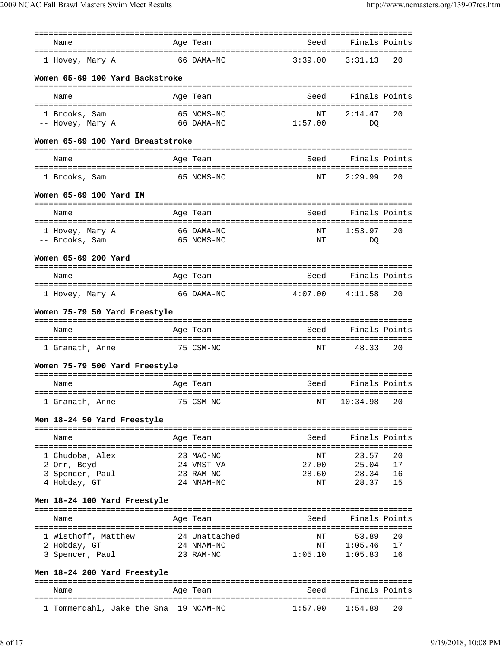| Name                                | Age Team                 | Seed                  | Finals Points                     |
|-------------------------------------|--------------------------|-----------------------|-----------------------------------|
| 1 Hovey, Mary A                     | 66 DAMA-NC               | 3:39.00               | 3:31.13<br>20                     |
| Women 65-69 100 Yard Backstroke     |                          |                       |                                   |
|                                     |                          |                       |                                   |
| Name                                | Age Team                 | Seed                  | Finals Points                     |
| 1 Brooks, Sam                       | 65 NCMS-NC               | NT                    | 20<br>2:14.47                     |
| -- Hovey, Mary A                    | 66 DAMA-NC               | 1:57.00               | DO.                               |
| Women 65-69 100 Yard Breaststroke   |                          |                       |                                   |
| Name                                | Age Team                 | Seed                  | Finals Points                     |
| 1 Brooks, Sam                       | 65 NCMS-NC               | ΝT                    | 2:29.99<br>20                     |
|                                     |                          |                       |                                   |
| Women 65-69 100 Yard IM             |                          |                       |                                   |
| Name                                | Age Team                 | Seed                  | Finals Points                     |
|                                     |                          |                       |                                   |
| 1 Hovey, Mary A<br>-- Brooks, Sam   | 66 DAMA-NC<br>65 NCMS-NC | NΤ<br>NΤ              | 1:53.97<br>20<br>DQ               |
|                                     |                          |                       |                                   |
| Women 65-69 200 Yard                |                          |                       |                                   |
| Name                                | Age Team                 | Seed                  | Finals Points                     |
| 1 Hovey, Mary A                     | 66 DAMA-NC               | 4:07.00               | 4:11.58<br>20                     |
| Women 75-79 50 Yard Freestyle       |                          |                       |                                   |
|                                     |                          |                       |                                   |
| Name                                | Age Team                 | Seed                  | Finals Points                     |
| 1 Granath, Anne                     | 75 CSM-NC                | NΤ                    | 48.33<br>20                       |
| Women 75-79 500 Yard Freestyle      |                          |                       |                                   |
| Name                                | Age Team                 | Seed                  | Finals Points                     |
|                                     |                          |                       |                                   |
| 1 Granath, Anne                     | 75 CSM-NC                | NΤ                    | 10:34.98<br>20                    |
| Men 18-24 50 Yard Freestyle         |                          |                       | ================================= |
| Name                                | Age Team                 | Seed                  | Finals Points                     |
| =================================== |                          | ===================== |                                   |
| 1 Chudoba, Alex<br>2 Orr, Boyd      | 23 MAC-NC<br>24 VMST-VA  | NΤ<br>27.00           | 23.57<br>20<br>25.04<br>17        |
| 3 Spencer, Paul                     | 23 RAM-NC                | 28.60                 | 28.34<br>16                       |
| 4 Hobday, GT                        | 24 NMAM-NC               | NΤ                    | 28.37<br>15                       |
| Men 18-24 100 Yard Freestyle        |                          |                       |                                   |
| Name                                | Age Team                 | Seed                  | Finals Points                     |
|                                     |                          |                       |                                   |
| 1 Wisthoff, Matthew                 | 24 Unattached            | NΤ                    | 53.89<br>20                       |
| 2 Hobday, GT<br>3 Spencer, Paul     | 24 NMAM-NC<br>23 RAM-NC  | NΤ<br>1:05.10         | 1:05.46<br>17<br>1:05.83<br>16    |
|                                     |                          |                       |                                   |
| Men 18-24 200 Yard Freestyle        |                          | ---------------       | ======================            |
| Name                                | Age Team                 | Seed                  | Finals Points                     |
|                                     |                          |                       |                                   |

1 Tommerdahl, Jake the Sna 19 NCAM-NC 1:57.00 1:54.88 20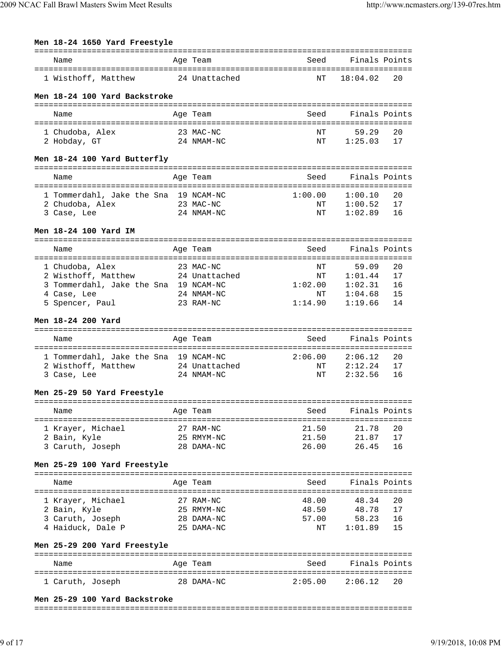**Men 18-24 1650 Yard Freestyle**

| Name                                                                                                                            | Age Team                                            | Seed                                 | Finals Points                                     |                            |
|---------------------------------------------------------------------------------------------------------------------------------|-----------------------------------------------------|--------------------------------------|---------------------------------------------------|----------------------------|
| ====================================<br>1 Wisthoff, Matthew                                                                     | 24 Unattached                                       | NΤ                                   | 18:04.02                                          | 20                         |
| Men 18-24 100 Yard Backstroke                                                                                                   |                                                     |                                      |                                                   |                            |
| Name                                                                                                                            | Age Team                                            | Seed                                 | Finals Points                                     |                            |
| 1 Chudoba, Alex<br>2 Hobday, GT                                                                                                 | 23 MAC-NC<br>24 NMAM-NC                             | NΤ<br>NΤ                             | 59.29<br>1:25.03                                  | 20<br>17                   |
| Men 18-24 100 Yard Butterfly                                                                                                    |                                                     |                                      |                                                   |                            |
| Name                                                                                                                            | Age Team                                            | Seed                                 | Finals Points                                     |                            |
| 1 Tommerdahl, Jake the Sna 19 NCAM-NC<br>2 Chudoba, Alex<br>3 Case, Lee                                                         | 23 MAC-NC<br>24 NMAM-NC                             | 1:00.00<br>ΝT<br>ΝT                  | 1:00.10<br>1:00.52<br>1:02.89                     | 20<br>17<br>16             |
| Men 18-24 100 Yard IM                                                                                                           |                                                     |                                      |                                                   |                            |
| Name                                                                                                                            | Age Team                                            | Seed                                 | Finals Points                                     |                            |
| 1 Chudoba, Alex<br>2 Wisthoff, Matthew 24 Unattached<br>3 Tommerdahl, Jake the Sna 19 NCAM-NC<br>4 Case, Lee<br>5 Spencer, Paul | 23 MAC-NC<br>24 NMAM-NC<br>23 RAM-NC                | ΝT<br>ΝT<br>1:02.00<br>NΤ<br>1:14.90 | 59.09<br>1:01.44<br>1:02.31<br>1:04.68<br>1:19.66 | 20<br>17<br>16<br>15<br>14 |
| Men 18-24 200 Yard                                                                                                              |                                                     |                                      |                                                   |                            |
| Name                                                                                                                            | Age Team                                            | Seed                                 | Finals Points                                     |                            |
| 1 Tommerdahl, Jake the Sna 19 NCAM-NC<br>2 Wisthoff, Matthew<br>3 Case, Lee                                                     | 24 Unattached<br>24 NMAM-NC                         | 2:06.00<br>ΝT<br>NΤ                  | 2:06.12<br>2:12.24<br>2:32.56                     | 20<br>17<br>16             |
| Men 25-29 50 Yard Freestyle                                                                                                     |                                                     |                                      |                                                   |                            |
| Name                                                                                                                            | Age Team                                            | Seed                                 | Finals Points                                     |                            |
| 1 Krayer, Michael<br>2 Bain, Kyle<br>3 Caruth, Joseph                                                                           | 27 RAM-NC<br>25 RMYM-NC<br>28 DAMA-NC               | 21.50<br>21.50<br>26.00              | 21.78<br>21.87<br>26.45                           | 20<br>17<br>16             |
| Men 25-29 100 Yard Freestyle                                                                                                    |                                                     |                                      |                                                   |                            |
| Name                                                                                                                            | Age Team                                            | Seed                                 | Finals Points                                     |                            |
| 1 Krayer, Michael<br>2 Bain, Kyle<br>3 Caruth, Joseph<br>4 Haiduck, Dale P                                                      | 27 RAM-NC<br>25 RMYM-NC<br>28 DAMA-NC<br>25 DAMA-NC | 48.00<br>48.50<br>57.00<br>NΤ        | 48.34<br>48.78<br>58.23<br>1:01.89                | 20<br>17<br>16<br>15       |
| Men 25-29 200 Yard Freestyle                                                                                                    |                                                     |                                      |                                                   |                            |
| Name                                                                                                                            | Age Team                                            | Seed                                 | Finals Points                                     |                            |
| 1 Caruth, Joseph                                                                                                                | 28 DAMA-NC                                          | 2:05.00                              | 2:06.12                                           | 20                         |
| Men 25-29 100 Yard Backstroke                                                                                                   |                                                     |                                      |                                                   |                            |

===============================================================================

===============================================================================

9/19/2018, 10:08 PM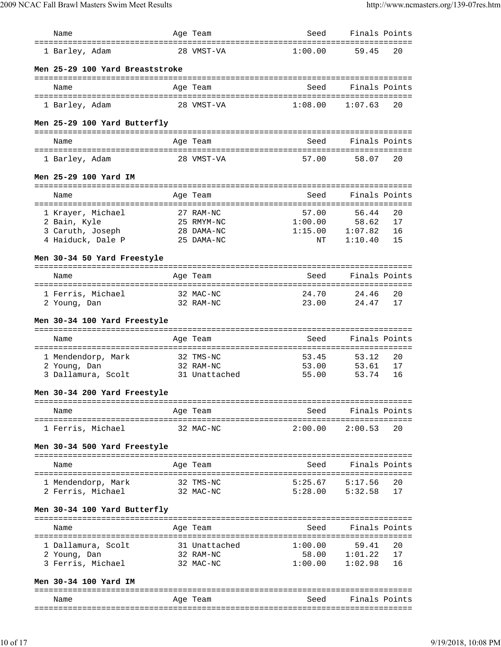| Name                               | Age Team               | Seed                | Finals Points      |          |
|------------------------------------|------------------------|---------------------|--------------------|----------|
| 1 Barley, Adam                     | 28 VMST-VA             | 1:00.00             | 59.45              | 20       |
| Men 25-29 100 Yard Breaststroke    |                        |                     |                    |          |
|                                    |                        |                     |                    |          |
| Name                               | Age Team               | Seed                | Finals Points      |          |
| 1 Barley, Adam                     | 28 VMST-VA             | 1:08.00             | 1:07.63            | 20       |
| Men 25-29 100 Yard Butterfly       |                        |                     |                    |          |
| Name                               | Age Team               | Seed                | Finals Points      |          |
|                                    |                        |                     |                    |          |
| 1 Barley, Adam                     | 28 VMST-VA             | 57.00               | 58.07              | 20       |
| Men 25-29 100 Yard IM              |                        |                     |                    |          |
| Name                               | Age Team               | Seed                | Finals Points      |          |
| 1 Krayer, Michael                  | 27 RAM-NC              | 57.00               | 56.44              | 20       |
| 2 Bain, Kyle                       | 25 RMYM-NC             | 1:00.00             | 58.62              | 17       |
| 3 Caruth, Joseph                   | 28 DAMA-NC             | 1:15.00             | 1:07.82            | 16       |
| 4 Haiduck, Dale P                  | 25 DAMA-NC             | NΤ                  | 1:10.40            | 15       |
| Men 30-34 50 Yard Freestyle        |                        |                     |                    |          |
| Name                               | Age Team               | Seed                | Finals Points      |          |
|                                    |                        |                     |                    |          |
| 1 Ferris, Michael                  | 32 MAC-NC              | 24.70               | 24.46              | 20       |
| 2 Young, Dan                       | 32 RAM-NC              | 23.00               | 24.47              | 17       |
| Men 30-34 100 Yard Freestyle       |                        |                     |                    |          |
| Name                               | Age Team               | Seed                | Finals Points      |          |
|                                    |                        |                     |                    |          |
| 1 Mendendorp, Mark<br>2 Young, Dan | 32 TMS-NC<br>32 RAM-NC | 53.45<br>53.00      | 53.12<br>53.61     | 20<br>17 |
| 3 Dallamura, Scolt                 | 31 Unattached          | 55.00               | 53.74              | 16       |
| Men 30-34 200 Yard Freestyle       |                        |                     |                    |          |
|                                    |                        |                     |                    |          |
| Name                               | Age Team               | Seed                | Finals Points      |          |
| 1 Ferris, Michael                  | 32 MAC-NC              | $2:00.00$ $2:00.53$ |                    | 20       |
| Men 30-34 500 Yard Freestyle       |                        |                     |                    |          |
|                                    |                        |                     |                    |          |
| Name                               | Age Team               | Seed                | Finals Points      |          |
| 1 Mendendorp, Mark                 | 32 TMS-NC              | $5:25.67$ $5:17.56$ |                    | 20       |
| 2 Ferris, Michael                  | 32 MAC-NC              | $5:28.00$ $5:32.58$ |                    | 17       |
| Men 30-34 100 Yard Butterfly       |                        |                     |                    |          |
|                                    |                        |                     | Seed Finals Points |          |
| Name                               | Age Team               |                     |                    |          |
|                                    |                        |                     |                    |          |
| 1 Dallamura, Scolt                 | 31 Unattached          | 1:00.00             | 59.41              | -20      |
| 2 Young, Dan                       | 32 RAM-NC              |                     | 58.00 1:01.22      | 17       |
| 3 Ferris, Michael                  | 32 MAC-NC              | 1:00.00             | 1:02.98            | 16       |
| Men 30-34 100 Yard IM              |                        |                     |                    |          |
|                                    |                        |                     |                    |          |
| Name                               | Age Team               | Seed                | Finals Points      |          |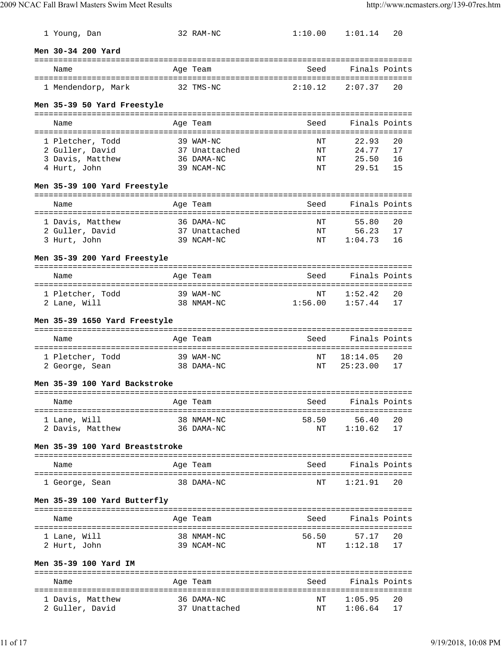| 1 Young, Dan                       | 32 RAM-NC                | 1:10.00     | 1:01.14          | 20       |
|------------------------------------|--------------------------|-------------|------------------|----------|
| Men 30-34 200 Yard                 |                          |             |                  |          |
|                                    |                          |             |                  |          |
| Name                               | Age Team                 | Seed        | Finals Points    |          |
|                                    |                          |             |                  |          |
| 1 Mendendorp, Mark                 | 32 TMS-NC                | 2:10.12     | 2:07.37          | 20       |
| Men 35-39 50 Yard Freestyle        |                          |             |                  |          |
|                                    |                          |             |                  |          |
| Name                               | Age Team                 | Seed        | Finals Points    |          |
| 1 Pletcher, Todd                   | 39 WAM-NC                | NΤ          | 22.93            | 20       |
| 2 Guller, David                    | 37 Unattached            | ΝT          | 24.77            | 17       |
| 3 Davis, Matthew                   | 36 DAMA-NC               | ΝT          | 25.50            | 16       |
| 4 Hurt, John                       | 39 NCAM-NC               | ΝT          | 29.51            | 15       |
| Men 35-39 100 Yard Freestyle       |                          |             |                  |          |
|                                    |                          |             |                  |          |
| Name                               | Age Team                 | Seed        | Finals Points    |          |
|                                    |                          |             |                  |          |
| 1 Davis, Matthew                   | 36 DAMA-NC               | NΤ          | 55.80            | 20       |
| 2 Guller, David                    | 37 Unattached            | ΝT          | 56.23            | 17       |
| 3 Hurt, John                       | 39 NCAM-NC               | ΝT          | 1:04.73          | 16       |
| Men 35-39 200 Yard Freestyle       |                          |             |                  |          |
|                                    |                          |             |                  |          |
| Name                               | Age Team                 | Seed        | Finals Points    |          |
| 1 Pletcher, Todd                   | 39 WAM-NC                | ΝT          | 1:52.42          | 20       |
| 2 Lane, Will                       | 38 NMAM-NC               | 1:56.00     | 1:57.44          | 17       |
|                                    |                          |             |                  |          |
| Men 35-39 1650 Yard Freestyle      |                          |             |                  |          |
|                                    |                          |             |                  |          |
| Name                               | Age Team                 | Seed        | Finals Points    |          |
| 1 Pletcher, Todd                   | 39 WAM-NC                | ΝT          | 18:14.05         | 20       |
| 2 George, Sean                     | 38 DAMA-NC               | ΝT          | 25:23.00         | 17       |
|                                    |                          |             |                  |          |
| Men 35-39 100 Yard Backstroke      |                          |             |                  |          |
|                                    |                          |             |                  |          |
| Name                               | Age Team                 | Seed        | Finals Points    |          |
| ================================== | ===============          |             |                  |          |
| 1 Lane, Will<br>2 Davis, Matthew   | 38 NMAM-NC<br>36 DAMA-NC | 58.50<br>ΝT | 56.40<br>1:10.62 | 20<br>17 |
|                                    |                          |             |                  |          |
| Men 35-39 100 Yard Breaststroke    |                          |             |                  |          |
|                                    |                          |             |                  |          |
| Name                               | Age Team                 | Seed        | Finals Points    |          |
|                                    |                          |             |                  |          |
| 1 George, Sean                     | 38 DAMA-NC               | ΝT          | 1:21.91          | 20       |
| Men 35-39 100 Yard Butterfly       |                          |             |                  |          |
| Name                               | Age Team                 | Seed        | Finals Points    |          |
|                                    |                          |             |                  |          |
| 1 Lane, Will                       | 38 NMAM-NC               | 56.50       | 57.17            | 20       |
| 2 Hurt, John                       | 39 NCAM-NC               | ΝT          | 1:12.18          | 17       |
|                                    |                          |             |                  |          |
| Men 35-39 100 Yard IM              |                          |             |                  |          |
|                                    |                          |             |                  |          |
| Name                               | Age Team                 | Seed        | Finals Points    |          |
| 1 Davis, Matthew                   | 36 DAMA-NC               | ΝT          | 1:05.95          | 20       |
| 2 Guller, David                    | 37 Unattached            | ΝT          | 1:06.64          | 17       |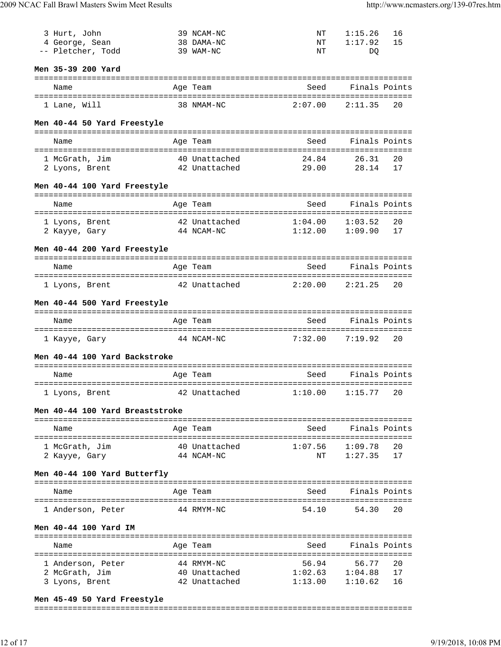| 3 Hurt, John                     |             | 39 NCAM-NC                       | ΝT                                      | 1:15.26             | 16       |
|----------------------------------|-------------|----------------------------------|-----------------------------------------|---------------------|----------|
| 4 George, Sean                   |             | 38 DAMA-NC                       | ΝT                                      | 1:17.92             | 15       |
| -- Pletcher, Todd                |             | 39 WAM-NC                        | NΤ                                      | DO                  |          |
|                                  |             |                                  |                                         |                     |          |
| Men 35-39 200 Yard               |             |                                  |                                         |                     |          |
|                                  |             |                                  | -------------------------------<br>Seed | Finals Points       |          |
| Name                             |             | Age Team                         |                                         |                     |          |
| 1 Lane, Will                     |             | 38 NMAM-NC                       | 2:07.00                                 | 2:11.35             | 20       |
|                                  |             |                                  |                                         |                     |          |
| Men 40-44 50 Yard Freestyle      |             |                                  |                                         |                     |          |
|                                  |             |                                  |                                         |                     |          |
| Name                             |             | Age Team                         | Seed                                    | Finals Points       |          |
| 1 McGrath, Jim                   |             | 40 Unattached                    | 24.84                                   | 26.31               | 20       |
| 2 Lyons, Brent                   |             | 42 Unattached                    | 29.00                                   | 28.14               | 17       |
|                                  |             |                                  |                                         |                     |          |
| Men 40-44 100 Yard Freestyle     |             |                                  |                                         |                     |          |
|                                  |             |                                  |                                         |                     |          |
| Name                             |             | Age Team                         | Seed                                    | Finals Points       |          |
| ----------------------           | :========== |                                  | :=============================          |                     |          |
| 1 Lyons, Brent                   |             | 42 Unattached                    | 1:04.00                                 | 1:03.52             | 20       |
| 2 Kayye, Gary                    |             | 44 NCAM-NC                       | 1:12.00                                 | 1:09.90             | 17       |
| Men 40-44 200 Yard Freestyle     |             |                                  |                                         |                     |          |
|                                  |             |                                  |                                         |                     |          |
| Name                             |             | Age Team                         | Seed                                    | Finals Points       |          |
|                                  |             |                                  |                                         |                     |          |
| 1 Lyons, Brent                   |             | 42 Unattached                    | 2:20.00                                 | 2:21.25             | 20       |
|                                  |             |                                  |                                         |                     |          |
| Men 40-44 500 Yard Freestyle     |             |                                  |                                         |                     |          |
| Name                             |             | Age Team                         | Seed                                    | Finals Points       |          |
|                                  |             |                                  |                                         |                     |          |
|                                  |             | 44 NCAM-NC                       | 7:32.00                                 | 7:19.92             | 20       |
| 1 Kayye, Gary                    |             |                                  |                                         |                     |          |
|                                  |             |                                  |                                         |                     |          |
| Men 40-44 100 Yard Backstroke    |             |                                  |                                         |                     |          |
|                                  |             |                                  |                                         |                     |          |
| Name<br>=====================    |             | Age Team                         | Seed                                    | Finals Points       |          |
|                                  |             | 42 Unattached 1:10.00 1:15.77 20 |                                         |                     |          |
| 1 Lyons, Brent                   |             |                                  |                                         |                     |          |
| Men 40-44 100 Yard Breaststroke  |             |                                  |                                         |                     |          |
|                                  |             |                                  |                                         |                     |          |
| Name                             |             | Age Team                         | Seed                                    | Finals Points       |          |
|                                  |             |                                  |                                         |                     |          |
| 1 McGrath, Jim                   |             | 40 Unattached                    |                                         | $1:07.56$ $1:09.78$ | 20       |
| 2 Kayye, Gary                    |             | 44 NCAM-NC                       | NT                                      | 1:27.35             | 17       |
| Men 40-44 100 Yard Butterfly     |             |                                  |                                         |                     |          |
|                                  |             |                                  |                                         |                     |          |
| Name                             |             | Age Team                         | Seed                                    | Finals Points       |          |
|                                  |             |                                  |                                         |                     |          |
| 1 Anderson, Peter                |             | 44 RMYM-NC                       | 54.10                                   | 54.30               | 20       |
|                                  |             |                                  |                                         |                     |          |
| Men 40-44 100 Yard IM            |             |                                  |                                         |                     |          |
| Name                             |             | Age Team                         | Seed                                    | Finals Points       |          |
|                                  |             |                                  |                                         |                     |          |
| 1 Anderson, Peter                |             | 44 RMYM-NC                       | 56.94                                   | 56.77               | 20       |
| 2 McGrath, Jim<br>3 Lyons, Brent |             | 40 Unattached<br>42 Unattached   | 1:02.63<br>1:13.00                      | 1:04.88<br>1:10.62  | 17<br>16 |

#### **Men 45-49 50 Yard Freestyle**

===============================================================================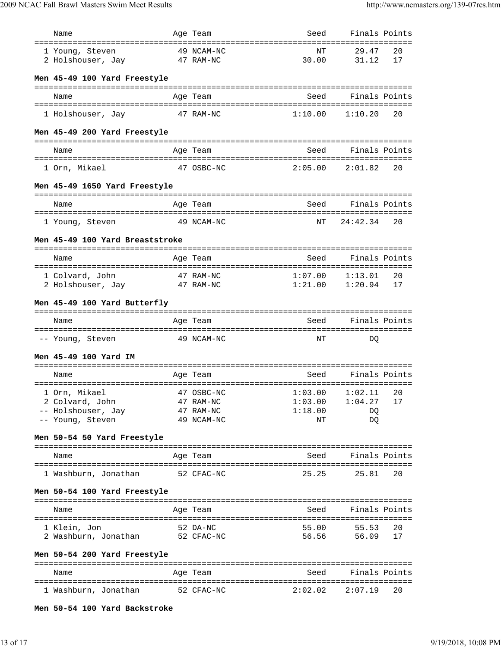| Name                                 |             | Age Team                | Seed                          | Finals Points      |          |
|--------------------------------------|-------------|-------------------------|-------------------------------|--------------------|----------|
|                                      |             |                         |                               |                    |          |
| 1 Young, Steven<br>2 Holshouser, Jay |             | 49 NCAM-NC<br>47 RAM-NC | ΝT<br>30.00                   | 29.47<br>31.12     | 20<br>17 |
|                                      |             |                         |                               |                    |          |
| Men 45-49 100 Yard Freestyle         |             |                         |                               |                    |          |
|                                      |             |                         |                               |                    |          |
| Name                                 |             | Age Team                | Seed                          | Finals Points      |          |
|                                      |             |                         |                               |                    |          |
| 1 Holshouser, Jay                    |             | 47 RAM-NC               | 1:10.00                       | 1:10.20            | 20       |
| Men 45-49 200 Yard Freestyle         |             |                         |                               |                    |          |
|                                      |             |                         |                               |                    |          |
| Name                                 |             | Age Team                | Seed                          | Finals Points      |          |
|                                      |             |                         |                               |                    |          |
| 1 Orn, Mikael                        |             | 47 OSBC-NC              | 2:05.00                       | 2:01.82            | 20       |
|                                      |             |                         |                               |                    |          |
| Men 45-49 1650 Yard Freestyle        |             |                         |                               |                    |          |
| Name                                 |             | Age Team                | Seed                          | Finals Points      |          |
|                                      |             |                         |                               |                    |          |
| 1 Young, Steven                      |             | 49 NCAM-NC              | NT                            | 24:42.34           | 20       |
|                                      |             |                         |                               |                    |          |
| Men 45-49 100 Yard Breaststroke      |             |                         |                               |                    |          |
|                                      |             |                         | Seed                          |                    |          |
| Name                                 |             | Age Team                |                               | Finals Points      |          |
| 1 Colvard, John                      |             | 47 RAM-NC               | 1:07.00                       | 1:13.01            | 20       |
| 2 Holshouser, Jay                    |             | 47 RAM-NC               | 1:21.00                       | 1:20.94            | 17       |
|                                      |             |                         |                               |                    |          |
| Men 45-49 100 Yard Butterfly         |             |                         |                               |                    |          |
|                                      |             |                         | Seed                          |                    |          |
|                                      |             |                         |                               | Finals Points      |          |
| Name                                 |             | Age Team                |                               |                    |          |
|                                      |             |                         |                               |                    |          |
| -- Young, Steven                     |             | 49 NCAM-NC              | NΤ                            | DO                 |          |
| Men 45-49 100 Yard IM                |             |                         |                               |                    |          |
|                                      |             |                         |                               |                    |          |
| Name                                 |             | Age Team                | Seed                          | Finals Points      |          |
|                                      | =========== |                         | ============================= |                    |          |
| 1 Orn, Mikael                        |             | 47 OSBC-NC              | 1:03.00                       | 1:02.11            | 20       |
| 2 Colvard, John                      |             | 47 RAM-NC               | 1:03.00                       | 1:04.27            | 17       |
| -- Holshouser, Jay                   |             | 47 RAM-NC               | 1:18.00                       | DQ                 |          |
| -- Young, Steven                     |             | 49 NCAM-NC              | ΝT                            | DQ                 |          |
| Men 50-54 50 Yard Freestyle          |             |                         |                               |                    |          |
|                                      |             |                         |                               |                    |          |
| Name                                 |             | Age Team                | Seed                          | Finals Points      |          |
|                                      |             |                         |                               |                    |          |
| 1 Washburn, Jonathan                 |             | 52 CFAC-NC              | 25.25                         | 25.81              | 20       |
|                                      |             |                         |                               |                    |          |
| Men 50-54 100 Yard Freestyle         |             |                         |                               |                    |          |
| Name                                 |             | Age Team                |                               | Seed Finals Points |          |
|                                      |             |                         |                               |                    |          |
| 1 Klein, Jon                         |             | 52 DA-NC                | 55.00                         | 55.53              | 20       |
| 2 Washburn, Jonathan                 |             | 52 CFAC-NC              | 56.56                         | 56.09              | 17       |
|                                      |             |                         |                               |                    |          |
| Men 50-54 200 Yard Freestyle         |             |                         |                               |                    |          |
|                                      |             |                         |                               |                    |          |
| Name                                 |             | Age Team                | Seed                          | Finals Points      |          |
| 1 Washburn, Jonathan                 |             | 52 CFAC-NC              | 2:02.02                       | 2:07.19            | 20       |
|                                      |             |                         |                               |                    |          |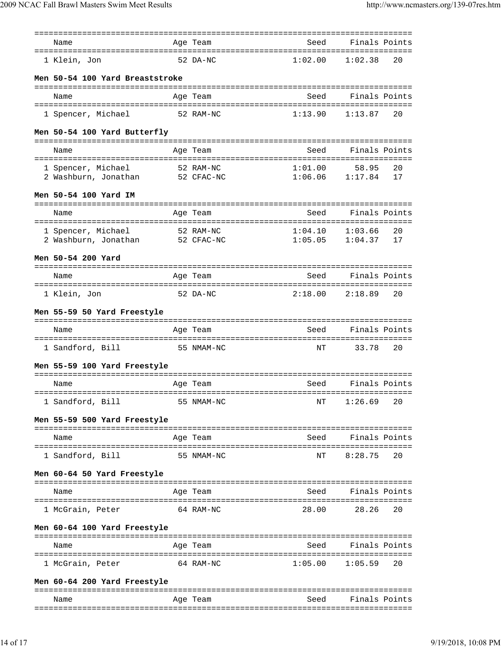| Name                                                  | Age Team                         |            | Seed                           | Finals Points                                   |
|-------------------------------------------------------|----------------------------------|------------|--------------------------------|-------------------------------------------------|
| 1 Klein, Jon                                          |                                  | 52 DA-NC   | 1:02.00                        | 1:02.38<br>20                                   |
| Men 50-54 100 Yard Breaststroke                       |                                  |            |                                |                                                 |
| Name                                                  | Age Team                         |            | Seed                           | Finals Points                                   |
| 1 Spencer, Michael                                    | 52 RAM-NC                        |            | 1:13.90                        | 1:13.87<br>20                                   |
| Men 50-54 100 Yard Butterfly                          |                                  |            |                                |                                                 |
| Name                                                  | Age Team                         |            | Seed                           | Finals Points                                   |
| 1 Spencer, Michael<br>2 Washburn, Jonathan            | 52 RAM-NC<br>52 CFAC-NC          |            | 1:01.00<br>1:06.06             | 20<br>58.95<br>17<br>1:17.84                    |
| Men 50-54 100 Yard IM                                 |                                  |            |                                |                                                 |
|                                                       |                                  |            |                                |                                                 |
| Name                                                  | Age Team                         |            | Seed                           | Finals Points                                   |
| 1 Spencer, Michael<br>2 Washburn, Jonathan 52 CFAC-NC | 52 RAM-NC                        |            | 1:04.10<br>1:05.05             | 1:03.66<br>20<br>1:04.37<br>17                  |
| Men 50-54 200 Yard                                    |                                  |            |                                |                                                 |
| Name                                                  | Age Team                         |            | Seed                           | Finals Points                                   |
|                                                       |                                  |            |                                |                                                 |
| 1 Klein, Jon                                          | 52 DA-NC                         |            | 2:18.00                        | 2:18.89<br>20                                   |
| Men 55-59 50 Yard Freestyle                           |                                  |            |                                |                                                 |
| Name                                                  | Age Team                         |            | Seed                           | Finals Points                                   |
|                                                       |                                  |            |                                |                                                 |
| 1 Sandford, Bill                                      | 55 NMAM-NC                       |            | NΤ                             | 33.78<br>20                                     |
| Men 55-59 100 Yard Freestyle                          |                                  |            |                                |                                                 |
| Name                                                  | Age Team                         |            | Seed                           | Finals Points                                   |
| 1 Sandford, Bill                                      |                                  | 55 NMAM-NC | NΤ                             | 1:26.69<br>20                                   |
| Men 55-59 500 Yard Freestyle                          |                                  |            |                                |                                                 |
| Name                                                  | ----------<br>Age Team           |            | ======================<br>Seed | Finals Points                                   |
| 1 Sandford, Bill                                      |                                  | 55 NMAM-NC | ΝT                             | 8:28.75<br>20                                   |
| Men 60-64 50 Yard Freestyle                           |                                  |            |                                |                                                 |
| Name                                                  | Age Team                         |            | Seed                           | Finals Points                                   |
| 1 McGrain, Peter                                      |                                  | 64 RAM-NC  | 28.00                          | 28.26<br>20                                     |
| Men 60-64 100 Yard Freestyle                          |                                  |            |                                |                                                 |
| ===================<br>Name                           | ====================<br>Age Team |            | Seed                           | :=============================<br>Finals Points |
| 1 McGrain, Peter                                      |                                  | 64 RAM-NC  | 1:05.00                        | 1:05.59<br>20                                   |
| Men 60-64 200 Yard Freestyle                          |                                  |            |                                |                                                 |
| Name                                                  | Age Team                         |            | Seed                           | Finals Points                                   |
|                                                       |                                  |            |                                |                                                 |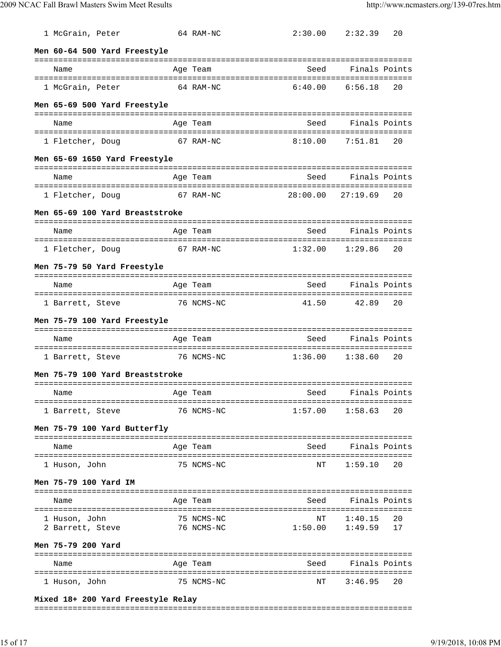| 1 McGrain, Peter                                           | 64 RAM-NC              | 2:30.00    | 2:32.39                  | 20 |
|------------------------------------------------------------|------------------------|------------|--------------------------|----|
| Men 60-64 500 Yard Freestyle                               |                        |            |                          |    |
| Name                                                       | Age Team               | Seed       | Finals Points            |    |
| 1 McGrain, Peter                                           | 64 RAM-NC              | 6:40.00    | 6:56.18                  | 20 |
| Men 65-69 500 Yard Freestyle                               |                        |            |                          |    |
| Name                                                       | Age Team               | Seed       | Finals Points            |    |
| 1 Fletcher, Doug                                           | 67 RAM-NC              | 8:10.00    | 7:51.81                  | 20 |
| Men 65-69 1650 Yard Freestyle                              |                        |            |                          |    |
| Name                                                       | Age Team               | Seed       | Finals Points            |    |
| 1 Fletcher, Doug                                           | 67 RAM-NC              | 28:00.00   | 27:19.69                 | 20 |
| Men 65-69 100 Yard Breaststroke                            |                        |            |                          |    |
| Name                                                       | Age Team               | Seed       | Finals Points            |    |
| 1 Fletcher, Doug                                           | 67 RAM-NC              | 1:32.00    | 1:29.86                  | 20 |
| Men 75-79 50 Yard Freestyle                                |                        |            |                          |    |
| Name                                                       | Age Team               | Seed       | Finals Points            |    |
| ======================================<br>1 Barrett, Steve | 76 NCMS-NC             | 41.50      | 42.89                    | 20 |
|                                                            |                        |            |                          |    |
| Men 75-79 100 Yard Freestyle                               |                        |            |                          |    |
| Name                                                       | Age Team               | Seed       | Finals Points            |    |
| 1 Barrett, Steve                                           | 76 NCMS-NC             | 1:36.00    | 1:38.60                  | 20 |
| Men 75-79 100 Yard Breaststroke                            |                        |            |                          |    |
| and the Samuel Age Team<br>Name                            |                        | Seed       | Finals Points            |    |
| 1 Barrett, Steve                                           | 76 NCMS-NC             |            | $1:57.00$ $1:58.63$      | 20 |
| Men 75-79 100 Yard Butterfly                               |                        |            |                          |    |
| Name                                                       | Age Team               | Seed       | Finals Points            |    |
| 1 Huson, John                                              | 75 NCMS-NC             | NΤ         | 1:59.10                  | 20 |
| Men 75-79 100 Yard IM                                      |                        |            |                          |    |
| Name                                                       | Age Team               | Seed       | Finals Points            |    |
| 1 Huson, John                                              | 75 NCMS-NC             | ΝT         | 1:40.15                  | 20 |
| 2 Barrett, Steve<br>Men 75-79 200 Yard                     | 76 NCMS-NC             | 1:50.00    | 1:49.59                  | 17 |
|                                                            |                        |            |                          |    |
| Name<br>1 Huson, John                                      | Age Team<br>75 NCMS-NC | Seed<br>NΤ | Finals Points<br>3:46.95 | 20 |

### **Mixed 18+ 200 Yard Freestyle Relay**

#### ===============================================================================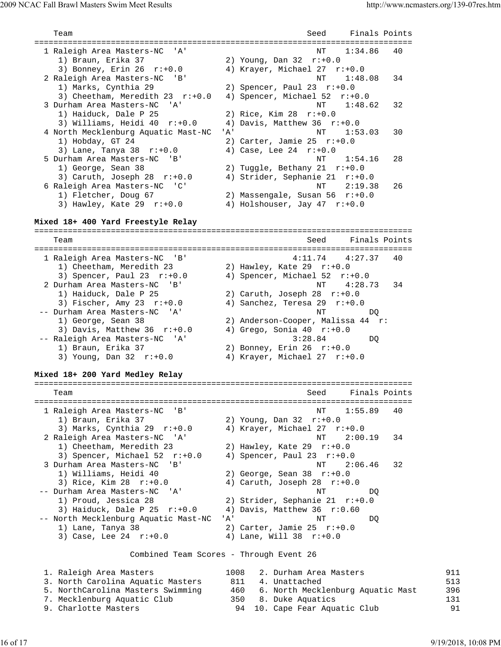| Team                                           | Finals Points<br>Seed                                    |  |
|------------------------------------------------|----------------------------------------------------------|--|
| 1 Raleigh Area Masters-NC<br>'A'               | 1:34.86<br>NΤ<br>40                                      |  |
| 1) Braun, Erika 37                             | 2) Young, Dan $32$ $r: +0.0$                             |  |
| 3) Bonney, Erin 26<br>r:+0.0                   | 4) Krayer, Michael 27<br>$r: +0.0$                       |  |
| 2 Raleigh Area Masters-NC<br>' B '             | NΤ<br>1:48.08<br>34                                      |  |
| 1) Marks, Cynthia 29                           | 2) Spencer, Paul 23 $r:+0.0$                             |  |
| 3) Cheetham, Meredith 23 r:+0.0                | 4) Spencer, Michael 52<br>$r: +0.0$                      |  |
| 3 Durham Area Masters-NC<br>' A'               | ΝT<br>1:48.62<br>32                                      |  |
| 1) Haiduck, Dale P 25                          | 2) Rice, Kim $28$ $r: +0.0$                              |  |
| 3) Williams, Heidi 40 r:+0.0                   | 4) Davis, Matthew 36 $r: +0.0$                           |  |
| 4 North Mecklenburg Aquatic Mast-NC            | 'A'<br>ΝT<br>30<br>1:53.03                               |  |
| 1) Hobday, GT 24                               | 2) Carter, Jamie 25 $r: +0.0$                            |  |
| 3) Lane, Tanya 38 $r: +0.0$                    | 4) Case, Lee $24$ $r: +0.0$                              |  |
| 5 Durham Area Masters-NC<br>'B'                | NΤ<br>28<br>1:54.16                                      |  |
| 1) George, Sean 38                             | 2) Tuggle, Bethany 21 $r:+0.0$                           |  |
| 3) Caruth, Joseph 28<br>$r: +0.0$              | 4) Strider, Sephanie 21 r:+0.0                           |  |
| 6 Raleigh Area Masters-NC 'C'                  | ΝT<br>2:19.38<br>26                                      |  |
| 1) Fletcher, Doug 67                           | 2) Massengale, Susan 56 r:+0.0                           |  |
| 3) Hawley, Kate 29 $r: +0.0$                   | 4) Holshouser, Jay 47 r:+0.0                             |  |
| Mixed 18+ 400 Yard Freestyle Relay             |                                                          |  |
|                                                | =======================                                  |  |
| Team                                           | Finals Points<br>Seed<br>==============================  |  |
| 1 Raleigh Area Masters-NC<br>'B'               | 4:11.74<br>4:27.37<br>40                                 |  |
| 1) Cheetham, Meredith 23                       | 2) Hawley, Kate 29 $r: +0.0$                             |  |
| 3) Spencer, Paul 23 $r: +0.0$                  | 4) Spencer, Michael 52<br>$r: +0.0$                      |  |
| 2 Durham Area Masters-NC<br>'B'                | NT<br>4:28.73<br>34                                      |  |
| 1) Haiduck, Dale P 25                          | 2) Caruth, Joseph 28 $r: +0.0$                           |  |
| 3) Fischer, Amy 23 $r: +0.0$                   | 4) Sanchez, Teresa 29 $r: +0.0$                          |  |
| -- Durham Area Masters-NC<br>'A'               | NΤ<br>DO.                                                |  |
| 1) George, Sean 38                             | 2) Anderson-Cooper, Malissa 44 r:                        |  |
| 3) Davis, Matthew 36 $r: +0.0$                 | 4) Grego, Sonia $40$ r:+0.0                              |  |
| -- Raleigh Area Masters-NC<br>' A '            | 3:28.84<br>DQ                                            |  |
| 1) Braun, Erika 37                             | 2) Bonney, Erin 26 $r: +0.0$                             |  |
| 3) Young, Dan $32$ $r: +0.0$                   | 4) Krayer, Michael 27 r:+0.0                             |  |
| Mixed 18+ 200 Yard Medley Relay                |                                                          |  |
| ===========================                    | ==============================                           |  |
| Team                                           | Finals Points<br>Seed                                    |  |
| 1 Raleigh Area Masters-NC<br>$'$ B $'$         | 1:55.89<br>40<br>NΤ                                      |  |
| 1) Braun, Erika 37                             | 2) Young, Dan $32$ $r: +0.0$                             |  |
| 3) Marks, Cynthia 29<br>$r: +0.0$              | 4) Krayer, Michael 27<br>$r: +0.0$                       |  |
| 2 Raleigh Area Masters-NC<br>' A '             | ΝT<br>2:00.19<br>34                                      |  |
| 1) Cheetham, Meredith 23                       | 2) Hawley, Kate 29 $r: +0.0$                             |  |
| 3) Spencer, Michael 52 r:+0.0                  | 4) Spencer, Paul 23 $r: +0.0$                            |  |
| 3 Durham Area Masters-NC<br>'B'                | 2:06.46<br>NΤ<br>32                                      |  |
| 1) Williams, Heidi 40                          | 2) George, Sean $38$ $r: +0.0$                           |  |
| 3) Rice, Kim 28 r:+0.0                         | 4) Caruth, Joseph 28 $r:+0.0$                            |  |
| -- Durham Area Masters-NC<br>'A'               | NΤ<br>DQ                                                 |  |
| 1) Proud, Jessica 28                           | 2) Strider, Sephanie 21 $r: +0.0$                        |  |
| 3) Haiduck, Dale P $25$ $r:+0.0$               | 4) Davis, Matthew 36 $r:0.60$                            |  |
| -- North Mecklenburg Aquatic Mast-NC           | 'A'<br>NΤ<br>DQ                                          |  |
| 1) Lane, Tanya 38<br>3) Case, Lee 24 $r: +0.0$ | 2) Carter, Jamie 25 $r: +0.0$<br>4) Lane, Will 38 r:+0.0 |  |
|                                                |                                                          |  |
|                                                | Combined Team Scores - Through Event 26                  |  |
| 1. Raleigh Area Masters                        | 1008<br>2. Durham Area Masters                           |  |
| 3. North Carolina Aquatic Masters              | 811<br>4. Unattached                                     |  |
| 5. NorthCarolina Masters Swimming              | 6. North Mecklenburg Aquatic Mast<br>460                 |  |
| 7. Mecklenburg Aquatic Club                    | 8. Duke Aquatics<br>350                                  |  |

9. Charlotte Masters 94 10. Cape Fear Aquatic Club 91